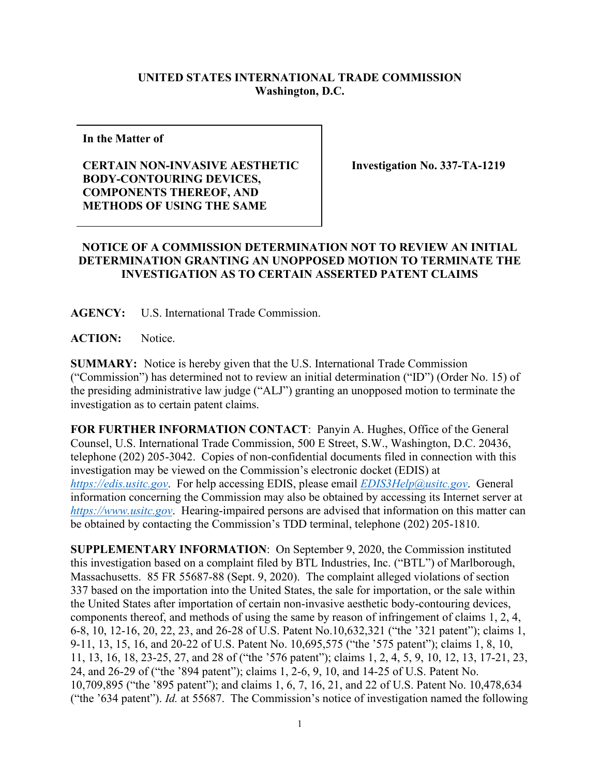## **UNITED STATES INTERNATIONAL TRADE COMMISSION Washington, D.C.**

**In the Matter of** 

## **CERTAIN NON-INVASIVE AESTHETIC BODY-CONTOURING DEVICES, COMPONENTS THEREOF, AND METHODS OF USING THE SAME**

**Investigation No. 337-TA-1219**

## **NOTICE OF A COMMISSION DETERMINATION NOT TO REVIEW AN INITIAL DETERMINATION GRANTING AN UNOPPOSED MOTION TO TERMINATE THE INVESTIGATION AS TO CERTAIN ASSERTED PATENT CLAIMS**

**AGENCY:** U.S. International Trade Commission.

**ACTION:** Notice.

**SUMMARY:** Notice is hereby given that the U.S. International Trade Commission ("Commission") has determined not to review an initial determination ("ID") (Order No. 15) of the presiding administrative law judge ("ALJ") granting an unopposed motion to terminate the investigation as to certain patent claims.

**FOR FURTHER INFORMATION CONTACT**: Panyin A. Hughes, Office of the General Counsel, U.S. International Trade Commission, 500 E Street, S.W., Washington, D.C. 20436, telephone (202) 205-3042. Copies of non-confidential documents filed in connection with this investigation may be viewed on the Commission's electronic docket (EDIS) at *[https://edis.usitc.gov](https://edis.usitc.gov/)*. For help accessing EDIS, please email *[EDIS3Help@usitc.gov](mailto:EDIS3Help@usitc.gov)*. General information concerning the Commission may also be obtained by accessing its Internet server at *[https://www.usitc.gov](https://www.usitc.gov/)*. Hearing-impaired persons are advised that information on this matter can be obtained by contacting the Commission's TDD terminal, telephone (202) 205-1810.

**SUPPLEMENTARY INFORMATION**: On September 9, 2020, the Commission instituted this investigation based on a complaint filed by BTL Industries, Inc. ("BTL") of Marlborough, Massachusetts. 85 FR 55687-88 (Sept. 9, 2020). The complaint alleged violations of section 337 based on the importation into the United States, the sale for importation, or the sale within the United States after importation of certain non-invasive aesthetic body-contouring devices, components thereof, and methods of using the same by reason of infringement of claims 1, 2, 4, 6-8, 10, 12-16, 20, 22, 23, and 26-28 of U.S. Patent No.10,632,321 ("the '321 patent"); claims 1, 9-11, 13, 15, 16, and 20-22 of U.S. Patent No. 10,695,575 ("the '575 patent"); claims 1, 8, 10, 11, 13, 16, 18, 23-25, 27, and 28 of ("the '576 patent"); claims 1, 2, 4, 5, 9, 10, 12, 13, 17-21, 23, 24, and 26-29 of ("the '894 patent"); claims 1, 2-6, 9, 10, and 14-25 of U.S. Patent No. 10,709,895 ("the '895 patent"); and claims 1, 6, 7, 16, 21, and 22 of U.S. Patent No. 10,478,634 ("the '634 patent"). *Id.* at 55687. The Commission's notice of investigation named the following